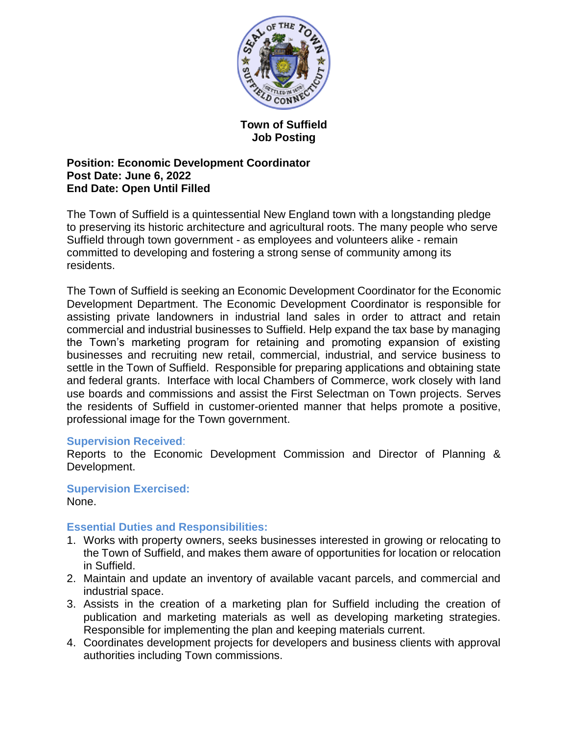

# **Town of Suffield Job Posting**

# **Position: Economic Development Coordinator Post Date: June 6, 2022 End Date: Open Until Filled**

The Town of Suffield is a quintessential New England town with a longstanding pledge to preserving its historic architecture and agricultural roots. The many people who serve Suffield through town government - as employees and volunteers alike - remain committed to developing and fostering a strong sense of community among its residents.

The Town of Suffield is seeking an Economic Development Coordinator for the Economic Development Department. The Economic Development Coordinator is responsible for assisting private landowners in industrial land sales in order to attract and retain commercial and industrial businesses to Suffield. Help expand the tax base by managing the Town's marketing program for retaining and promoting expansion of existing businesses and recruiting new retail, commercial, industrial, and service business to settle in the Town of Suffield. Responsible for preparing applications and obtaining state and federal grants. Interface with local Chambers of Commerce, work closely with land use boards and commissions and assist the First Selectman on Town projects. Serves the residents of Suffield in customer-oriented manner that helps promote a positive, professional image for the Town government.

# **Supervision Received**:

Reports to the Economic Development Commission and Director of Planning & Development.

#### **Supervision Exercised:** None.

# **Essential Duties and Responsibilities:**

- 1. Works with property owners, seeks businesses interested in growing or relocating to the Town of Suffield, and makes them aware of opportunities for location or relocation in Suffield.
- 2. Maintain and update an inventory of available vacant parcels, and commercial and industrial space.
- 3. Assists in the creation of a marketing plan for Suffield including the creation of publication and marketing materials as well as developing marketing strategies. Responsible for implementing the plan and keeping materials current.
- 4. Coordinates development projects for developers and business clients with approval authorities including Town commissions.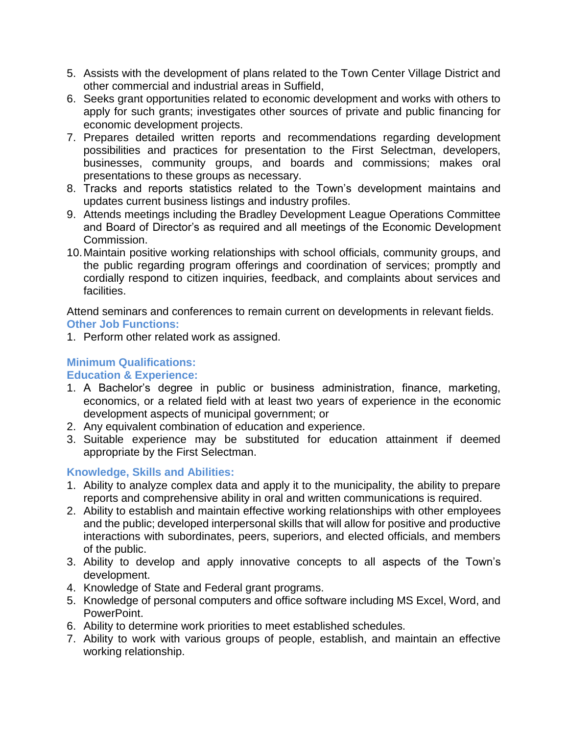- 5. Assists with the development of plans related to the Town Center Village District and other commercial and industrial areas in Suffield,
- 6. Seeks grant opportunities related to economic development and works with others to apply for such grants; investigates other sources of private and public financing for economic development projects.
- 7. Prepares detailed written reports and recommendations regarding development possibilities and practices for presentation to the First Selectman, developers, businesses, community groups, and boards and commissions; makes oral presentations to these groups as necessary.
- 8. Tracks and reports statistics related to the Town's development maintains and updates current business listings and industry profiles.
- 9. Attends meetings including the Bradley Development League Operations Committee and Board of Director's as required and all meetings of the Economic Development Commission.
- 10.Maintain positive working relationships with school officials, community groups, and the public regarding program offerings and coordination of services; promptly and cordially respond to citizen inquiries, feedback, and complaints about services and facilities.

Attend seminars and conferences to remain current on developments in relevant fields. **Other Job Functions:**

1. Perform other related work as assigned.

# **Minimum Qualifications:**

# **Education & Experience:**

- 1. A Bachelor's degree in public or business administration, finance, marketing, economics, or a related field with at least two years of experience in the economic development aspects of municipal government; or
- 2. Any equivalent combination of education and experience.
- 3. Suitable experience may be substituted for education attainment if deemed appropriate by the First Selectman.

# **Knowledge, Skills and Abilities:**

- 1. Ability to analyze complex data and apply it to the municipality, the ability to prepare reports and comprehensive ability in oral and written communications is required.
- 2. Ability to establish and maintain effective working relationships with other employees and the public; developed interpersonal skills that will allow for positive and productive interactions with subordinates, peers, superiors, and elected officials, and members of the public.
- 3. Ability to develop and apply innovative concepts to all aspects of the Town's development.
- 4. Knowledge of State and Federal grant programs.
- 5. Knowledge of personal computers and office software including MS Excel, Word, and PowerPoint.
- 6. Ability to determine work priorities to meet established schedules.
- 7. Ability to work with various groups of people, establish, and maintain an effective working relationship.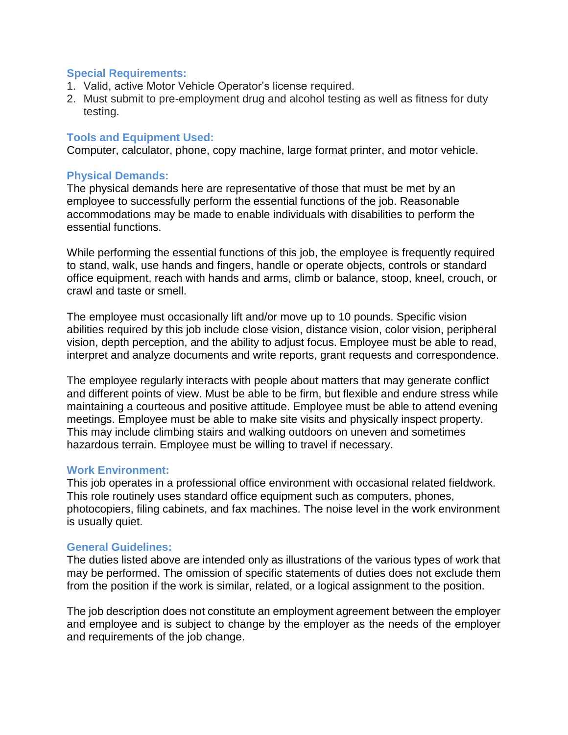## **Special Requirements:**

- 1. Valid, active Motor Vehicle Operator's license required.
- 2. Must submit to pre-employment drug and alcohol testing as well as fitness for duty testing.

# **Tools and Equipment Used:**

Computer, calculator, phone, copy machine, large format printer, and motor vehicle.

# **Physical Demands:**

The physical demands here are representative of those that must be met by an employee to successfully perform the essential functions of the job. Reasonable accommodations may be made to enable individuals with disabilities to perform the essential functions.

While performing the essential functions of this job, the employee is frequently required to stand, walk, use hands and fingers, handle or operate objects, controls or standard office equipment, reach with hands and arms, climb or balance, stoop, kneel, crouch, or crawl and taste or smell.

The employee must occasionally lift and/or move up to 10 pounds. Specific vision abilities required by this job include close vision, distance vision, color vision, peripheral vision, depth perception, and the ability to adjust focus. Employee must be able to read, interpret and analyze documents and write reports, grant requests and correspondence.

The employee regularly interacts with people about matters that may generate conflict and different points of view. Must be able to be firm, but flexible and endure stress while maintaining a courteous and positive attitude. Employee must be able to attend evening meetings. Employee must be able to make site visits and physically inspect property. This may include climbing stairs and walking outdoors on uneven and sometimes hazardous terrain. Employee must be willing to travel if necessary.

### **Work Environment:**

This job operates in a professional office environment with occasional related fieldwork. This role routinely uses standard office equipment such as computers, phones, photocopiers, filing cabinets, and fax machines. The noise level in the work environment is usually quiet.

### **General Guidelines:**

The duties listed above are intended only as illustrations of the various types of work that may be performed. The omission of specific statements of duties does not exclude them from the position if the work is similar, related, or a logical assignment to the position.

The job description does not constitute an employment agreement between the employer and employee and is subject to change by the employer as the needs of the employer and requirements of the job change.